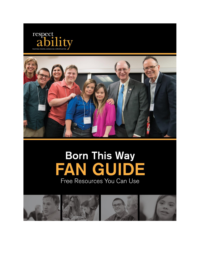



# **Born This Way** GUIDE FAN Free Resources You Can Use

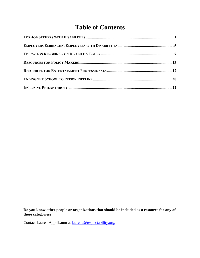# **Table of Contents**

**Do you know other people or organizations that should be included as a resource for any of these categories?**

Contact Lauren Appelbaum at **laurena@respectability.org**.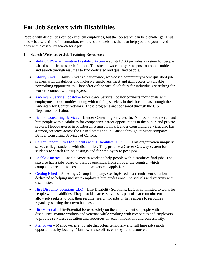### <span id="page-2-0"></span>**For Job Seekers with Disabilities**

People with disabilities can be excellent employees, but the job search can be a challenge. Thus, below is a selection of information, resources and websites that can help you and your loved ones with a disability search for a job.

#### **Job Search Websites & Job Training Resources:**

- [abilityJOBS](http://abilityjobs.com/) Affirmative Disability Action abilityJOBS provides a system for people with disabilities to search for jobs. The site allows employers to post job opportunities and search through resumes to find dedicated and qualified people.
- [AbilityLinks](https://www.abilitylinks.org/home.aspx?pageid=1024) *–* AbilityLinks is a nationwide, web-based community where qualified job seekers with disabilities and inclusive employers meet and gain access to valuable networking opportunities. They offer online virtual job fairs for individuals searching for work to connect with employers.
- [America's](https://www.careeronestop.org/) Service Locator American's Service Locator connects individuals with employment opportunities, along with training services in their local areas through the American Job Center Network. These programs are sponsored through the U.S. Department of Labor.
- Bender [Consulting](http://www.benderconsult.com/about-us) Services Bender Consulting Services, Inc.'s mission is to recruit and hire people with disabilities for competitive career opportunities in the public and private sectors. Headquartered in Pittsburgh, Pennsylvania, Bender Consulting Services also has a strong presence across the United States and in Canada through its sister company, Bender Consulting Services of Canada.
- Career [Opportunities](http://www.cosdonline.org/home) to Students with Disabilities (COSD) This organization uniquely serves college students with disabilities. They provide a Career Gateway system for students to search for job postings and for employers to post jobs.
- Enable [America](http://www.enableamerica.org/) *–* Enable America works to help people with disabilities find jobs. The site also has a jobs board of various openings, from all over the country, which companies are able to post and job seekers can apply for.
- [Getting](http://www.gettinghired.com/) Hired An Allegis Group Company, Getting Hired is a recruitment solution dedicated to helping inclusive employers hire professional individuals and veterans with disabilities.
- Hire [Disability](http://www.hireds.com/Career-Center/Job-Seekers/) Solutions LLC *–* Hire Disability Solutions, LLC is committed to work for people with disabilities. They provide career services as part of that commitment and allow job seekers to post their resume, search for jobs or have access to resources regarding starting their own business.
- [HirePotential](http://hirepotential.com/) HirePotential focuses solely on the employment of people with disabilities, mature workers and veterans while working with companies and employers to provide services, education and resources on accommodations and accessibility.
- [Manpower](https://www.manpower.com/wps/portal/ManpowerUSA/home/!ut/p/a1/04_Sj9CPykssy0xPLMnMz0vMAfGjzOJN_D3MPD2cDXwsXIOMDBzNPAONjD2MjJ09jfW9wAoMcABHA6AJkUZFvs6-6fpRBYklGbqZeWn5-hFB-fkl-hHOrh75uan64fpRhEwpyI6K1M12VAQAk1D7Sg!!/dl5/d5/L0lDUmlTUSEhL3dHa0FKRnNBLzRKVXBDQSEhL2Vu/) Manpower is a job site that offers temporary and full time job search opportunities by locality. Manpower also offers employment resources.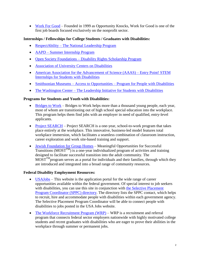[Work](https://www.workforgood.org/) For Good – Founded in 1999 as Opportunity Knocks, Work for Good is one of the first job boards focused exclusively on the nonprofit sector.

#### **Internships / Fellowships for College Students / Graduates with Disabilities:**

- [RespectAbility](https://www.respectability.org/about-us/fellowship/) The National Leadership Program
- AAPD Summer [Internship](http://www.aapd.com/summer-internship-program/) Program
- Open Society [Foundations](https://www.opensocietyfoundations.org/grants/disability-rights-scholarship-program-20150820) Disability Rights Scholarship Program
- [Association](https://www.aucd.org/index.cfm/employment#aucdoffice) of University Centers on Disabilities
- American Association for the [Advancement](https://www.aaas.org/program/entrypoint) of Science (AAAS) Entry Point! STEM Internships for Students with [Disabilities](https://www.aaas.org/program/entrypoint)
- Smithsonian Museums Access to [Opportunities](https://www.smithsonianofi.com/internship-opportunities/access-to-opportunities-smithsonian-internship-program-for-people-with-disabilities/) Program for People with Disabilities
- The [Washington](http://www.twc.edu/internships/washington-dc-programs/program-costs-scholarships/us-students/disabilities) Center The Leadership Initiative for Students with Disabilities

#### **Programs for Students and Youth with Disabilities:**

- [Bridges](http://www.bridgestowork.org/) to Work *–* Bridges to Work helps more than a thousand young people, each year, most of whom are transitioning out of high school special education into the workplace. This program helps them find jobs with an employer in need of qualified, entry-level applicants.
- Project [SEARCH](http://www.projectsearch.us/) Project SEARCH is a one-year, school-to-work program that takes place entirely at the workplace. This innovative, business-led model features total workplace immersion, which facilitates a seamless combination of classroom instruction, career exploration and work site-based training and support.
- Jewish [Foundation](http://www.jfgh.org/services/services/) for Group Homes *–* Meaningful Opportunities for Successful Transitions ( $MOST^{TM}$ ) is a one-year individualized program of activities and training designed to facilitate successful transition into the adult community. The  $MOST^{TM}$ program serves as a portal for individuals and their families, through which they are introduced and integrated into a broad range of community resources.

#### **Federal Disability Employment Resources:**

- [USAJobs](https://www.usajobs.gov/) *–* This website is the application portal for the wide range of career opportunities available within the federal government. Of special interest to job seekers with disabilities, you can use this site in conjunction with the Selective [Placement](http://apps.opm.gov/sppc_directory/) Program [Coordinator](http://apps.opm.gov/sppc_directory/) (SPPC) directory. The directory lists the SPPC contact, which helps to recruit, hire and accommodate people with disabilities within each government agency. The Selective Placement Program Coordinator will be able to connect people with disabilities to jobs posted in the USA Jobs website.
- The Workforce [Recruitment](https://wrp.gov/AboutPre.do;jsessionid=17AF8896EAB7D78BB9A86EC63DA6AF91) Program (WRP) WRP is a recruitment and referral program that connects federal sector employers nationwide with highly motivated college students and recent graduates with disabilities who are eager to prove their abilities in the workplace through summer or permanent jobs.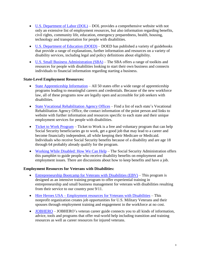- U.S. [Department](https://www.dol.gov/odep/topics/disability.htm) of Labor (DOL) DOL provides a comprehensive website with not only an extensive list of employment resources, but also information regarding benefits, civil rights, community life, education, emergency preparedness, health, housing, technology and transportation for people with disabilities.
- U.S. [Department](http://atconnects.com/docs/employer-publications-documents/faast-employment-resources-and-self-help-guide.pdf?sfvrsn=2%20) of Education (DOED) DOED has published a variety of guidebooks that provide a range of explanations, further information and resources on a variety of disability services, including legal and policy definitions about eligibility.
- U.S. Small Business [Administration](https://www.sba.gov/starting-business/how-start-business/business-types/people-disabilities) (SBA) The SBA offers a range of toolkits and resources for people with disabilities looking to start their own business and connects individuals to financial information regarding starting a business.

#### **State-Level Employment Resources:**

- State [Apprenticeship](http://www.doleta.gov/OA/sainformation.cfm) Information All 50 states offer a wide range of apprenticeship programs leading to meaningful careers and credentials. Because of the new workforce law, all of these programs now are legally open and accessible for job seekers with disabilities.
- State Vocational [Rehabilitation](https://askjan.org/cgi-win/TypeQuery.exe?902) Agency Offices Find a list of each state's Vocational Rehabilitation Agency Office, the contact information of the point person and links to website with further information and resources specific to each state and their unique employment services for people with disabilities.
- Ticket to Work [Program](https://www.ssa.gov/work/) Ticket to Work is a free and voluntary program that can help Social Security beneficiaries go to work, get a good job that may lead to a career and become financially independent, all while keeping their Medicare or Medicaid. Individuals who receive Social Security benefits because of a disability and are age 18 through 64 probably already qualify for the program.
- Working While [Disabled:](http://www.socialsecurity.gov/pubs/EN-05-10095.pdf) How We Can Help *–* The Social Security Administration offers this pamphlet to guide people who receive disability benefits on employment and employment issues. There are discussions about how to keep benefits and have a job.

#### **Employment Resources for Veterans with Disabilities:**

- [Entrepreneurship](http://whitman.syr.edu/ebv/) Bootcamp for Veterans with Disabilities (EBV) This program is designed as an intensive training program to offer experiential training in entrepreneurship and small business management for veterans with disabilities resulting from their service to our country post 9/11.
- Hire Heroes USA [Employment](https://www.hireheroesusa.org/) resources for Veterans with Disabilities This nonprofit organization creates job opportunities for U.S. Military Veterans and their spouses through employment training and engagement in the workforce at no cost.
- [JOBHERO](http://www.jobhero.com/veteran-career-guide/) *–* JOBHERO's veteran career guide connects you to all kinds of information, advice, tools and programs that offer real-world help including transition and training resources as well as career resources for injured veterans.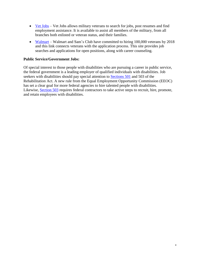- <u>Vet [Jobs](http://vetjobs.com/)</u> Vet Jobs allows military veterans to search for jobs, post resumes and find employment assistance. It is available to assist all members of the military, from all branches both enlisted or veteran status, and their families.
- [Walmart](http://walmartcareerswithamission.com/default.aspx) Walmart and Sam's Club have committed to hiring 100,000 veterans by 2018 and this link connects veterans with the application process. This site provides job searches and applications for open positions, along with career counseling.

#### **Public Service/Government Jobs:**

Of special interest to those people with disabilities who are pursuing a career in public service, the federal government is a leading employer of qualified individuals with disabilities. Job seekers with disabilities should pay special attention to [Sections](https://www.eeoc.gov/laws/regulations/qanda-ada-disabilities-final-rule.cfm) 501 and 503 of the Rehabilitation Act. A new rule from the Equal Employment Opportunity Commission (EEOC) has set a clear goal for more federal agencies to hire talented people with disabilities. Likewise, [Section](https://www.dol.gov/ofccp/regs/compliance/section503.htm) 503 requires federal contractors to take active steps to recruit, hire, promote, and retain employees with disabilities.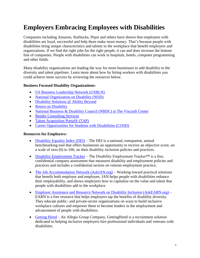### <span id="page-6-0"></span>**Employers Embracing Employees with Disabilities**

Companies including Amazon, Starbucks, Pepsi and others have shown that employees with disabilities are loyal, successful and help them make more money. That's because people with disabilities bring unique characteristics and talents to the workplace that benefit employers and organizations. If we find the right jobs for the right people, it can and does increase the bottom line of companies. People with disabilities can work in hospitals, hotels, computer programming and other fields.

Many disability organizations are leading the way for more businesses to add disability to the diversity and talent pipelines. Learn more about how by hiring workers with disabilities you could achieve more success by reviewing the resources below.

#### **Business Focused Disability Organizations:**

- [US Business Leadership Network \(USBLN\)](http://www.usbln.org/)
- [National Organization on Disability \(NOD\)](http://www.nod.org/)
- [Disability Solutions @ Ability Beyond](http://disabilitysolutionsatwork.org/)
- [Return on Disability](http://www.rod-group.com/)
- [National Business & Disability Council \(NBDC\) at The Viscardi Center](https://www.viscardicenter.org/services/nalt-business-disability-council/)
- [Bender Consulting Services](http://www.benderconsult.com/)
- [Talent Acquisition Portal® \(TAP\)](https://tapability.org/welcome)
- [Career Opportunities for Students with Disabilities \(COSD\)](http://www.cosdonline.org/about)

#### **Resources for Employers:**

- [Disability Equality Index \(DEI\)](https://www.disabilityequalityindex.org/) The DEI is a national, transparent, annual benchmarking tool that offers businesses an opportunity to receive an objective score, on a scale of zero (0) to 100, on their disability inclusion policies and practices.
- [Disability Employment Tracker](http://www.nod.org/services/tracker.html) The Disability Employment Tracker<sup>™</sup> is a free, confidential company assessment that measures disability and employment policies and practices and includes a confidential section on veteran employment practice.
- [The Job Accommodation Network \(AskJAN.org\)](https://askjan.org/index.html) Working toward practical solutions that benefit both employer and employee, JAN helps people with disabilities enhance their employability, and shows employers how to capitalize on the value and talent that people with disabilities add to the workplace.
- [Employer Assistance and Resource Network on Disability Inclusion \(AskEARN.org\)](http://www.askearn.org/about/) EARN is a free resource that helps employers tap the benefits of disability diversity. They educate public- and private-sector organizations on ways to build inclusive workplace cultures and empower them to become leaders in the employment and advancement of people with disabilities.
- [Getting Hired](http://www.gettinghired.com/) An Allegis Group Company, GettingHired is a recruitment solution dedicated to helping inclusive employers hire professional individuals and veterans with disabilities.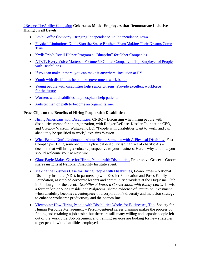#### [#RespectTheAbility Campaign](https://www.respectability.org/2016/06/29/respecttheability-campaign-celebrates-model-employers-that-demonstrate-inclusive-hiring-on-all-levels/) **Celebrates Model Employers that Demonstrate Inclusive Hiring on all Levels:**

- [Em's Coffee Company: Bringing Independence To Independence, Iowa](https://www.respectability.org/2016/01/22/ems-coffee-company-bringing-independence-to-independence-iowa/)
- [Physical Limitations Don't Stop the Spece Brothers From Making Their Dreams Come](https://www.respectability.org/2016/01/21/physical-limitations-dont-stop-the-spece-brothers-from-making-their-dreams-come-true/)  [True](https://www.respectability.org/2016/01/21/physical-limitations-dont-stop-the-spece-brothers-from-making-their-dreams-come-true/)
- [Kwik Trip's Retail Helper Program a "Blueprint" for Other Companies](https://www.respectability.org/2016/01/04/respecttheability-campaign-spotlight-on-kwik-trip/)
- AT&T: Every Voice Matters Fortune 50 Global Company is Top Employer of People [with Disabilities](https://www.respectability.org/2015/10/22/respecttheability-campaign-spotlight-on-att/)
- [If you can make it there, you can make it anywhere: Inclusion at](https://www.respectability.org/2014/07/28/ey-photo-gallery/) EY
- [Youth with disabilities help make government work better](https://www.respectability.org/2014/08/12/youth-with-disabilities-help-make-government-work-better/)
- [Young people with disabilities help senior citizens: Provide excellent workforce](https://www.respectability.org/2014/08/12/young-people-with-disabilities-help-senior-citizens-provide-excellent-workforce-for-the-future/)  for the [future](https://www.respectability.org/2014/08/12/young-people-with-disabilities-help-senior-citizens-provide-excellent-workforce-for-the-future/)
- [Workers with disabilities help hospitals help patients](https://www.respectability.org/2014/08/12/workers-with-disabilities-help-hospitals-help-patients/)
- [Autistic man on path to become an organic farmer](https://www.respectability.org/2014/08/12/autistic-man-on-path-to-become-an-organic-farmer/)

#### **Press Clips on the Benefits of Hiring People with Disabilities:**

- [Hiring Americans with Disabilities,](http://video.cnbc.com/gallery/?video=3000193204) CNBC Discussing what hiring people with disabilities means for an organization, with Rodger DeRose, Kessler Foundation CEO, and Gregory Wasson, Walgreen CEO. "People with disabilities want to work, and can absolutely be qualified to work," explains Wasson.
- [What People Don't Understand About Hiring Someone with A Physical Disability,](https://www.fastcompany.com/3031327/why-hiring-someone-with-a-physical-disability-is-one-of-the-best-decision-you-could-make) Fast Company – Hiring someone with a physical disability isn't an act of charity; it's a decision that will bring a valuable perspective to your business. Here's why and how you should welcome your newest hire.
- [Giant Eagle Makes Case for Hiring People with Disabilities,](http://www.progressivegrocer.com/industry-news-trends/regional-supermarket-chains/giant-eagle-makes-case-hiring-people-disabilities) Progressive Grocer Grocer shares insights at National Disability Institute event.
- [Making the Business Case for Hiring People with Disabilities,](http://www.econotimes.com/Making-the-Business-Case-for-Hiring-People-with-Disabilities-693614) EconoTimes National Disability Institute (NDI), in partnership with Kessler Foundation and Poses Family Foundation, assembled corporate leaders and community providers at the Duquesne Club in Pittsburgh for the event: *Disability at Work, a Conversation with Randy Lewis.* Lewis, a former Senior Vice President at Walgreens, shared evidence of "return on investment" when disability becomes a centerpiece of a corporation's diversity and inclusion strategy to enhance workforce productivity and the bottom line.
- Viewpoint: [How Hiring People with Disabilities Works for Businesses, Too,](https://www.shrm.org/resourcesandtools/hr-topics/talent-acquisition/pages/viewpoint-how-hiring-people-with-disabilities-works-for-businesses-too.aspx) Society for Human Resource Management – Person-centered career planning makes the process of finding and retaining a job easier, but there are still many willing and capable people left out of the workforce. Job placement and training services are looking for new strategies to get people with disabilities employed.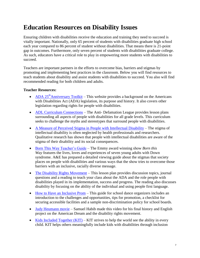### <span id="page-8-0"></span>**Education Resources on Disability Issues**

Ensuring children with disabilities receive the education and training they need to succeed is vitally important. Nationally, only 65 percent of students with disabilities graduate high school each year compared to 86 percent of student without disabilities. That means there is 21-point gap in outcomes. Furthermore, only seven percent of students with disabilities graduate college. As such, educators have a critical role to play in empowering more students with disabilities to succeed.

Teachers are important partners in the efforts to overcome bias, barriers and stigmas by promoting and implementing best practices in the classroom. Below you will find resources to teach students about disability and assist students with disabilities to succeed. You also will find recommended reading for both children and adults.

#### **Teacher Resources:**

- ADA 25<sup>th</sup>[Anniversary Toolkit](https://www.adaanniversary.org/toolkit) This website provides a background on the Americans with Disabilities Act (ADA) legislation, its purpose and history. It also covers other legislation regarding rights for people with disabilities.
- [ADL Curriculum Connections](https://www.adl.org/education-and-resources/resources-for-educators-parents-families/lesson-plans?ed_cat_id%5B159%5D=159) The Anti- Defamation League provides lesson plans surrounding all aspects of people with disabilities for all grade levels. This curriculum seeks to challenge the myths and stereotypes that surround people with disabilities.
- [A Measure of Perceived Stigma in People with Intellectual Disability](http://bjp.rcpsych.org/content/193/5/410) The stigma of intellectual disability is often neglected by health professionals and researchers. Qualitative research has shown that people with intellectual disabilities are aware of the stigma of their disability and its social consequences.
- Born This Way [Teacher's Guide](https://aetvminisites.s3.amazonaws.com/born-this-way/BornThisWayGuide.pdf) *–* The Emmy award winning show *Born this Way* features the lives, loves and experiences of seven young adults with Down syndrome. A&E has prepared a detailed viewing guide about the stigmas that society places on people with disabilities and various ways that the show tries to overcome those barriers with an inclusive, racially diverse message.
- [The Disability Rights Movement](http://www.dariusgoeswest.org/school-program/teachers/lessons/plans/Social_Studies_1.pdf) This lesson plan provides discussion topics, journal questions and a reading to teach your class about the ADA and the role people with disabilities played in its implementation, success and progress. The reading also discusses disability by focusing on the ability of the individual and using people first language.
- [How to Have an Inclusive Prom](http://elearning.kit.org/oltpublish/site/document.do?dispatch=show&id=37f45912-2485-11e7-a6ac-0cc47a352510&entityType=GROUP&entityId=cc65edfc-b8a5-11e3-bc5a-00163e0054ca&inner=false) This guide for school dance organizers includes an introduction to the challenges and opportunities, tips for promotion, a checklist for securing accessible facilities and a sample non-discrimination policy for school boards.
- [Judy Heumann movie](https://www.youtube.com/watch?v=ZXKgZqrA9Ho) Samuel Habib made this video for his final history and English project on the American Dream and the disability rights movement.
- Kids Included Together  $(KIT)$  KIT strives to help the world see the ability in every child. KIT helps others meaningfully include kids with disabilities through inclusion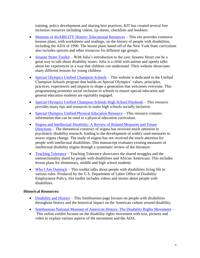training, policy development and sharing best practices. KIT has created several free inclusion resources including videos, tip sheets, checklists and booklets.

- [Museum of disABILITY History: Educational Resources](http://museumofdisability.org/educational-resources/) This site provides extensive lessons plans, with worksheets and readings, on the history of people with disabilities, including the ADA of 1990. The lesson plans based off of the New York State curriculum also includes quizzes and other resources for different age groups.
- [Sesame Street Toolkit](http://www.sesamestreet.org/toolkits) *–* With Julia's introduction to the cast, Sesame Street can be a great way to talk about disability issues. Julia is a child with autism and openly talks about her experiences in a way that children can understand. Their website showcases many different lessons for young children.
- [Special Olympics Unified Champion Schools](http://www.specialolympics.org/unified-champion-schools/) This website is dedicated to the Unified Champion Schools program that builds on Special Olympics' values, principles, practices, experiences and impacts to shape a generation that welcomes everyone. This programming promotes social inclusion in schools to ensure special education and general education students are equitably engaged.
- [Special Olympics Unified Champion Schools High School Playbook](http://media.specialolympics.org/resources/community-building/youth-and-school/unified-champion-schools/Unified-Champion-Schools-High-School-Playbook.pdf) This resource provides many tips and resources to make high schools socially inclusive.
- [Special Olympics Unified Physical Education Resource](http://media.specialolympics.org/resources/community-building/youth-and-school/unified-champion-schools/Unified-Physcial-Education-Resources.pdf) This resource contains information that can be used in a physical education curriculum.
- [Stigma and Intellectual Disability: A Review of Related Measures and Future](https://www.researchgate.net/publication/51829262_Stigma_and_intellectual_disability_A_review_of_related_measures_and_future_directions)  [Directions](https://www.researchgate.net/publication/51829262_Stigma_and_intellectual_disability_A_review_of_related_measures_and_future_directions) – The theoretical construct of stigma has received much attention in psychiatric disability research, leading to the development of widely used measures to assess stigma change. The study of stigma has not received the much attention for people with intellectual disabilities. This manuscript evaluates existing measures of intellectual disability stigma through a systematic review of the literature.
- [Teaching Tolerance](http://www.tolerance.org/classroom-resources) Teaching Tolerance showcases the shared struggles and the intersectionality shard by people with disabilities and African Americans. This includes lesson plans for elementary, middle and high school students.
- [Who I Am Outreach](https://www.whatcanyoudocampaign.org/blog/index.php/who-i-am-toolkit/) This toolkit talks about people with disabilities living life in various roles. Produced by the U.S. Department of Labor Office of Disability Employment Policy, this toolkit includes videos and stories about people with disabilities.

#### **Historical Resources:**

- [Disability and History](http://everybody.si.edu/) This Smithsonian page focuses on people with disabilities throughout history and the historical impact on the American culture around disability.
- [Smithsonian National Museum of American History: The Disability Rights Movement](http://americanhistory.si.edu/disabilityrights/welcome.html) *–* This online exhibit focuses on the disability rights movement with text, pictures and video to explain various aspects of the movement and the ADA.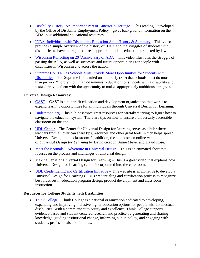- [Disability History: An Important Part of America's Heritage](http://www.dol.gov/odep/documents/Disability%20History_508%20compliant_links.pdf) This reading developed by the Office of Disability Employment Policy – gives background information on the ADA, plus additional educational resources.
- [IDEA: Individuals with Disabilities Education Act –](http://education-portal.com/academy/lesson/idea-individuals-with-disabilities-education-act-history-and-summary.html#lesson) History  $\&$  Summary This video provides a simple overview of the history of IDEA and the struggles of students with disabilities to have the right to a free, appropriate public education protected by law.
- [Wisconsin Reflecting on 20](http://www.youtube.com/watch?v=ayu2xSZoK0A)<sup>th</sup>Anniversary of ADA This video illustrates the struggle of passing the ADA, as well as successes and future opportunities for people with disabilities in Wisconsin and across the nation.
- Supreme Court Rules Schools Must Provide More Opportunities for Students with [Disabilities](https://themighty.com/2017/03/supreme-court-rules-schools-must-support-students-with-disabilities/) – The Supreme Court ruled unanimously (8-0) that schools must do more than provide "merely more than *de minimis*" education for students with a disability and instead provide them with the opportunity to make "appropriately ambitious" progress.

#### **Universal Design Resources:**

- [CAST](http://www.cast.org/) CAST is a nonprofit education and development organization that works to expand learning opportunities for all individuals through Universal Design for Learning.
- [Understood.org](https://www.understood.org/) *–*This hub possesses great resources for caretakers trying to figure how to navigate the education system. There are tips on how to ensure a universally accessible classroom on the site.
- [UDL Center](http://www.udlcenter.org/) The Center for Universal Design for Learning serves as a hub where teachers from all over can share tips, resources and other great tools, which helps spread Universal Design in the classroom. In addition, the site hosts an online version of *Universal Design for Learning* by David Gordon, Anne Meyer and David Rose.
- Meet the Normals [Adventure in Universal Design](https://www.youtube.com/watch?v=A88E4DH2asQ) This is an animated short that focuses on the process and challenges of universal design.
- Making Sense of Universal Design for Learning This is a great video that explains how Universal Design for Learning can be incorporated into the classroom.
- [UDL Credentialing and Certification Initiative](http://www.udlcci.org/) This website is an initiative to develop a Universal Design for Learning (UDL) credentialing and certification process to recognize best practices in education program design, product development and classroom instruction.

#### **Resources for College Students with Disabilities:**

• [Think College](http://www.thinkcollege.net/) – Think College is a national organization dedicated to developing, expanding and improving inclusive higher education options for people with intellectual disabilities. With a commitment to equity and excellence, Think College supports evidence-based and student centered research and practice by generating and sharing knowledge, guiding institutional change, informing public policy, and engaging with students, professionals and families.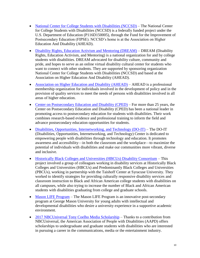- [National Center for College Students with Disabilities \(NCCSD\)](http://www.nccsdonline.org/) The National Center for College Students with Disabilities (NCCSD) is a federally funded project under the U.S. Department of Education (P116D150005), through the Fund for the Improvement of Postsecondary Education (FIPSE). NCCSD's home is at the Association on Higher Education And Disability (AHEAD).
- [Disability Rights, Education Activism and Mentoring \(DREAM\)](http://www.dreamcollegedisability.org/) DREAM (Disability Rights, Education Activism, and Mentoring) is a national organization for and by college students with disabilities. DREAM advocated for disability culture, community and pride, and hopes to serve as an online virtual disability cultural center for students who want to connect with other students. They are supported by sponsoring organization National Center for College Students with Disabilities (NCCSD) and based at the Association on Higher Education And Disability (AHEAD).
- [Association on Higher Education and Disability \(AHEAD\)](http://www.ahead.org/) AHEAD is a professional membership organization for individuals involved in the development of policy and in the provision of quality services to meet the needs of persons with disabilities involved in all areas of higher education.
- [Center on Postsecondary Education and Disability \(CPED\)](http://cped.uconn.edu/) For more than 25 years, the Center on Postsecondary Education and Disability (CPED) has been a national leader in promoting access to postsecondary education for students with disabilities. Their work combines research-based evidence and professional training to inform the field and advance postsecondary education opportunities for students.
- [Disabilities, Opportunities, Internetworking, and Technology \(DO-IT\)](http://www.washington.edu/doit/) The DO-IT (Disabilities, Opportunities, Internetworking, and Technology) Center is dedicated to empowering people with disabilities through technology and education. It promotes awareness and accessibility—in both the classroom and the workplace—to maximize the potential of individuals with disabilities and make our communities more vibrant, diverse and inclusive.
- [Historically Black Colleges and Universities \(HBCUs\) Disability Consortium](http://www.hbcudisabilityconsortium.org/) This project involved a group of colleagues working in disability services at Historically Black Colleges and Universities (HBCUs) and Predominantly Black Colleges and Universities (PBCUs), working in partnership with the Taishoff Center at Syracuse University. They worked to identify strategies for providing culturally responsive disability services and classroom instruction to Black and African American college students with disabilities on all campuses, while also trying to increase the number of Black and African American students with disabilities graduating from college and graduate schools.
- [Mason LIFE Program](https://masonlife.gmu.edu/) The Mason LIFE Program is an innovative post-secondary program at George Mason University for young adults with intellectual and developmental disabilities who desire a university experience in a supportive academic environment.
- [2017 NBCUniversal Tony Coelho Media Scholarship](https://goo.gl/JFT5Eg) Thanks to a contribution from NBCUniversal, the American Association of People with Disabilities (AAPD) offers scholarships to undergraduate and graduate students with disabilities who are interested in pursuing a career in the communications, media or the entertainment industry.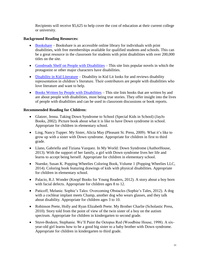Recipients will receive \$5,625 to help cover the cost of education at their current college or university.

#### **Background Reading Resources:**

- [Bookshare](https://www.bookshare.org/) *–* Bookshare is an accessible online library for individuals with print disabilities, with free memberships available for qualified students and schools. This can be a great resource in the classroom for students with print disabilities with over 200,000 titles on the site.
- [Goodreads Shelf on People with Disabilities](http://www.goodreads.com/shelf/show/people-with-disabilities) *–* This site lists popular novels in which the protagonist or other major characters have disabilities.
- [Disability in Kid Literature](http://disabilityinkidlit.com/) Disability in Kid Lit looks for and reviews disability representation in children's literature. Their contributors are people with disabilities who love literature and want to help.
- [Books Written by People with Disabilities](http://dearauthor.com/need-aec/if-you-like-misc/if-you-like-books-about-characters-with-disabilities/) This site lists books that are written by and are about people with disabilities, most being true stories. They offer insight into the lives of people with disabilities and can be used in classroom discussions or book reports.

#### **Recommended Reading for Children:**

- Glatzer, Jenna. Taking Down Syndrome to School (Special Kids in School) (JayJo Books, 2002). Picture book about what it is like to have Down syndrome in school. Appropriate for children in elementary school.
- Ling, Nancy Tupper. My Sister, Alicia May (Pleasant St. Press, 2009). What it's like to grow up with a sister with Down syndrome. Appropriate for children in first to third grade.
- Llano, Gabriella and Tiziana Vazquez. In My World: Down Syndrome (AuthorHouse, 2013). With the support of her family, a girl with Down syndrome lives her life and learns to accept being herself. Appropriate for children in elementary school.
- Nuenke, Susan K. Popping Wheelies Coloring Book, Volume 1 (Popping Wheelies LLC, 2014). Coloring book featuring drawings of kids with physical disabilities. Appropriate for children in elementary school.
- Palacio, R.J. Wonder (Knopf Books for Young Readers, 2012). A story about a boy born with facial defects. Appropriate for children ages 8 to 12.
- Paticoff, Melanie. Sophie's Tales: Overcoming Obstacles (Sophie's Tales, 2012). A dog with a cochlear implant meets Champ, another dog who wears glasses, and they talk about disability. Appropriate for children ages 3 to 10.
- Robinson Peete, Holly and Ryan Elizabeth Peete. My Brother Charlie (Scholastic Press, 2010). Story told from the point of view of the twin sister of a boy on the autism spectrum. Appropriate for children in kindergarten to second grade.
- Stuve-Bodeen, Stephanie. We'll Paint the Octopus Red (Woodbine House, 1998). A sixyear-old girl learns how to be a good big sister to a baby brother with Down syndrome. Appropriate for children in kindergarten to third grade.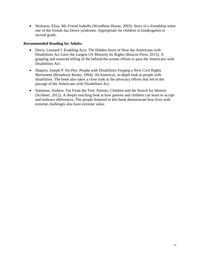Woloson, Eliza. My Friend Isabelle (Woodbine House, 2003). Story of a friendship when one of the friends has Down syndrome. Appropriate for children in kindergarten to second grade.

#### **Recommended Reading for Adults:**

- Davis, Lennard J. Enabling Acts: The Hidden Story of How the Americans with Disabilities Act Gave the Largest US Minority Its Rights (Beacon Press, 2015). A gripping and nuanced telling of the behind-the-scenes efforts to pass the Americans with Disabilities Act.
- Shapiro, Joseph P. No Pity: People with Disabilities Forging a New Civil Rights Movement (Broadway Books, 1994). An historical, in-depth look at people with disabilities. The book also takes a close look at the advocacy efforts that led to the passage of the Americans with Disabilities Act.
- Solomon, Andrew. Far From the Tree: Parents, Children and the Search for Identity (Scribner, 2012). A deeply touching look at how parents and children can learn to accept and embrace differences. The people featured in this book demonstrate how lives with extreme challenges also have extreme value.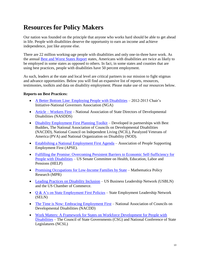### <span id="page-14-0"></span>**Resources for Policy Makers**

Our nation was founded on the principle that anyone who works hard should be able to get ahead in life. People with disabilities deserve the opportunity to earn an income and achieve independence, just like anyone else.

There are 22 million working-age people with disabilities and only one-in-three have work. As the annual [Best and Worst States Report](https://www.respectability.org/2017/02/24/people-with-disabilities-twice-as-likely-to-be-employed-in-some-states-as-others/) states, Americans with disabilities are twice as likely to be employed in some states as opposed to others. In fact, in some states and counties that are using best practices, people with disabilities have 50 percent employment.

As such, leaders at the state and local level are critical partners in our mission to fight stigmas and advance opportunities. Below you will find an expansive list of reports, resources, testimonies, toolkits and data on disability employment. Please make use of our resources below.

#### **Reports on Best Practices:**

- [A Better Bottom Line: Employing People with Disabilities](https://www.nga.org/files/live/sites/NGA/files/pdf/2013/NGA_2013BetterBottomLineWeb.pdf) 2012-2013 Chair's Initiative-National Governors Association (NGA)
- Article [Workers First](http://www.nasddds.org/uploads/documents/WorkersFirst(Moseley).pdf) National Association of State Directors of Developmental Disabilities (NASDDS)
- [Disability Employment First Planning Toolkit](https://www.respectability.org/Resources/Disability%20Employment%20First%20Planning.pdf) Developed in partnerships with Best Buddies, The National Association of Councils on Developmental Disabilities (NACDD), National Council on Independent Living (NCIL), Paralyzed Veterans of America (PVA) and National Organization on Disability (NOD).
- [Establishing a National Employment First Agenda](http://www.apse.org/wp-content/uploads/2014/04/APSE-Employment-First-White-Paper.pdf) Association of People Supporting Employment First (APSE).
- Fulfilling the Promise: Overcoming Persistent Barriers to Economic Self-Sufficiency for [People with Disabilities](https://www.help.senate.gov/imo/media/doc/HELP%20Committee%20Disability%20and%20Poverty%20Report.pdf) – US Senate Committee on Health, Education, Labor and Pensions (HELP)
- [Promising Occupations for Low-Income Families by State](https://www.mathematica-mpr.com/our-focus-areas/family-support/data-visualizations/tanfmap) Mathematica Policy Research (MPR)
- [Leading Practices on Disability Inclusion](https://www.uschamber.com/sites/default/files/documents/files/022137_01_disability_inclusion_fin-revisedlr.pdf) US Business Leadership Network (USBLN) and the US Chamber of Commerce.
- $Q & A$ 's on State Employment First Policies State Employment Leadership Network (SELN)
- [The Time is Now: Embracing Employment First](http://www.dphhs.mt.gov/Portals/85/dsd/documents/DDP/SELN/NationalCouncilonDevelopmentalDisabilities.pdf) National Association of Councils on Developmental Disabilities (NACDD)
- [Work Matters: A Framework for States on Workforce Development for People with](http://www.ncsl.org/Portals/1/Documents/employ/Work_Matters_Report.pdf)  [Disabilities](http://www.ncsl.org/Portals/1/Documents/employ/Work_Matters_Report.pdf) – The Council of State Governments (CSG) and National Conference of State Legislatures (NCSL)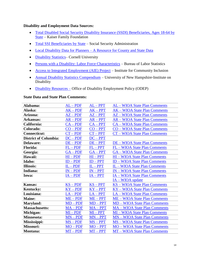#### **Disability and Employment Data Sources:**

- [Total Disabled Social Security Disability Insurance \(SSDI\) Beneficiaries, Ages](http://kff.org/medicare/state-indicator/total-disabled-social-security-disability-insurance-ssdi-beneficiaries-ages-18-64/) 18-64 by [State](http://kff.org/medicare/state-indicator/total-disabled-social-security-disability-insurance-ssdi-beneficiaries-ages-18-64/) – Kaiser Family Foundation
- [Total SSI Beneficiaries by State](https://www.ssa.gov/policy/docs/factsheets/cong_stats/2016/index.html) Social Security Administration
- Local Disability Data for Planners [A Resource for County and State Data](http://www.disabilityplanningdata.com/site/pick_a_state.php)
- Disability Statistics- Cornell University
- [Persons with a Disability: Labor Force Characteristics](https://www.bls.gov/news.release/disabl.toc.htm) Bureau of Labor Statistics
- [Access to Integrated Employment \(AIE\) Project](http://www.communityinclusion.org/aie) Institute for Community Inclusion
- [Annual Disability Statistics Compendium](https://disabilitycompendium.org/) University of New Hampshire-Institute on Disability
- [Disability Resources –](https://www.dol.gov/odep/topics/disability.htm) Office of Disability Employment Policy (ODEP)

#### **State Data and State Plan Comments:**

| Alabama:                     | $AL - PDF$ | $AL - PPT$ | AL - WIOA State Plan Comments        |
|------------------------------|------------|------------|--------------------------------------|
| Alaska:                      | $AK - PDF$ | $AK - PPT$ | <b>AK - WIOA State Plan Comments</b> |
| Arizona:                     | $AZ - PDF$ | $AZ - PPT$ | AZ – WIOA State Plan Comments        |
| Arkansas:                    | $AR - PDF$ | $AR - PPT$ | <b>AR - WIOA State Plan Comments</b> |
| California:                  | $CA - PDF$ | $CA - PPT$ | <b>CA – WIOA State Plan Comments</b> |
| Colorado:                    | $CO - PDF$ | $CO - PPT$ | CO – WIOA State Plan Comments        |
| <b>Connecticut:</b>          | $CT - PDF$ | $CT - PPT$ | <b>CT</b> – WIOA State Plan Comments |
| <b>District of Columbia:</b> | $DC - PDF$ | $DC - PPT$ |                                      |
| Delaware:                    | DE – PDF   | $DE - PPT$ | <b>DE – WIOA State Plan Comments</b> |
| <b>Florida:</b>              | $FL - PDF$ | $FL-PPT$   | FL - WIOA State Plan Comments        |
| Georgia:                     | $GA - PDF$ | $GA - PPT$ | <b>GA</b> – WIOA State Plan Comments |
| Hawaii:                      | $HI - PDF$ | $HI - PPT$ | <b>HI-WIOA State Plan Comments</b>   |
| Idaho:                       | $ID - PDF$ | $ID - PPT$ | <b>ID - WIOA State Plan Comments</b> |
| <b>Illinois:</b>             | $IL - PDF$ | $IL - PPT$ | IL - WIOA State Plan Comments        |
| Indiana:                     | $IN - PDF$ | $IN - PPT$ | <b>IN - WIOA State Plan Comments</b> |
| Iowa:                        | $IA - PDF$ | $IA - PPT$ | <b>IA - WIOA State Plan Comments</b> |
|                              |            |            | IA - WIOA update                     |
| <b>Kansas:</b>               | $KS - PDF$ | $KS - PPT$ | <b>KS</b> - WIOA State Plan Comments |
| <b>Kentucky:</b>             | $KY-PDF$   | $KY - PPT$ | KY - WIOA State Plan Comments        |
| Louisiana:                   | $LA - PDF$ | $LA - PPT$ | LA - WIOA State Plan Comments        |
| <b>Maine:</b>                | $ME - PDF$ | $ME - PPT$ | <b>ME - WIOA State Plan Comments</b> |
| Maryland:                    | $MD - PDF$ | $MD - PPT$ | <b>MD - WIOA State Plan Comments</b> |
| <b>Massachusetts:</b>        | $MA - PDF$ | $MA - PPT$ | <b>MA - WIOA State Plan Comments</b> |
| Michigan:                    | $MI - PDF$ | $MI - PPT$ | <b>MI-WIOA State Plan Comments</b>   |
| Minnesota:                   | $MN - PDF$ | $MN - PPT$ | <b>MN</b> – WIOA State Plan Comments |
| Mississippi:                 | $MS - PDF$ | $MS - PPT$ | <b>MS</b> – WIOA State Plan Comments |
| Missouri:                    | $MO - PDF$ | $MO - PPT$ | <b>MO</b> - WIOA State Plan Comments |
| Montana:                     | $MT - PDF$ | $MT - PPT$ | <b>MT</b> – WIOA State Plan Comments |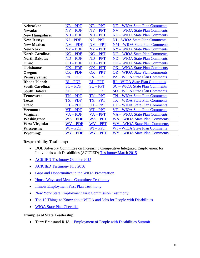| Nebraska:              | $NE - PDF$ | $NE - PPT$ | <b>NE - WIOA State Plan Comments</b> |
|------------------------|------------|------------|--------------------------------------|
| Nevada:                | $NV - PDF$ | $NV - PPT$ | <b>NV</b> – WIOA State Plan Comments |
| <b>New Hampshire:</b>  | $NH - PDF$ | $NH - PPT$ | NH – WIOA State Plan Comments        |
| <b>New Jersey:</b>     | NJ – PDF   | $NJ - PPT$ | NJ – WIOA State Plan Comments        |
| <b>New Mexico:</b>     | $NM - PDF$ | $NM - PPT$ | NM – WIOA State Plan Comments        |
| <b>New York:</b>       | $NY - PDF$ | $NY - PPT$ | NY – WIOA State Plan Comments        |
| <b>North Carolina:</b> | $NC - PDF$ | $NC - PPT$ | <b>NC</b> – WIOA State Plan Comments |
| <b>North Dakota:</b>   | $ND - PDF$ | $ND - PPT$ | ND - WIOA State Plan Comments        |
| Ohio:                  | $OH - PDF$ | $OH - PPT$ | <b>OH</b> – WIOA State Plan Comments |
| Oklahoma:              | $OK - PDF$ | $OK - PPT$ | <b>OK</b> – WIOA State Plan Comments |
| Oregon:                | $OR - PDF$ | $OR - PPT$ | <b>OR</b> – WIOA State Plan Comments |
| Pennsylvania:          | $PA - PDF$ | $PA - PPT$ | <b>PA</b> – WIOA State Plan Comments |
|                        |            |            |                                      |
| <b>Rhode Island:</b>   | $RI - PDF$ | $RI - PPT$ | <b>RI-WIOA State Plan Comments</b>   |
| <b>South Carolina:</b> | $SC - PDF$ | $SC - PPT$ | <b>SC</b> – WIOA State Plan Comments |
| <b>South Dakota:</b>   | $SD - PDF$ | $SD - PPT$ | <b>SD - WIOA State Plan Comments</b> |
| <b>Tennessee:</b>      | $TN - PDF$ | $TN - PPT$ | <b>TN</b> – WIOA State Plan Comments |
| Texas:                 | $TX - PDF$ | $TX - PPT$ | TX – WIOA State Plan Comments        |
| Utah:                  | $UT - PDF$ | $UT - PPT$ | UT – WIOA State Plan Comments        |
| Vermont:               | $VT - PDF$ | $VT - PPT$ | VT - WIOA State Plan Comments        |
| Virginia:              | $VA - PDF$ | $VA - PPT$ | VA - WIOA State Plan Comments        |
| <b>Washington:</b>     | $WA - PDF$ | $WA - PPT$ | <b>WA-WIOA State Plan Comments</b>   |
| West Virginia:         | $WV - PDF$ | $WV - PPT$ | <b>WV-WIOA State Plan Comments</b>   |
| <b>Wisconsin:</b>      | $WI - PDF$ | $WI - PPT$ | <b>WI-WIOA State Plan Comments</b>   |

#### **RespectAbility Testimony:**

- DOL Advisory Committee on Increasing Competitive Integrated Employment for Individuals with Disabilities (ACICIED) [Testimony March 2015](https://www.dol.gov/odep/topics/date/20150423-RespectAbility.pdf)
- [ACICIED Testimony October 2015](https://www.dol.gov/odep/pdf/20151015TestimonyRespectAbility.pdf)
- **[ACICIED Testimony July 2016](https://www.dol.gov/odep/topics/date/RespectAbility_DOL_Advisory_Committee_Testimony_04-15-16_FINAL.pdf)**
- [Gaps and Opportunities in the WIOA Presentation](https://www.respectability.org/Resources/Gaps%20and%20Opportunities%20in%20the%20WIOA%20State%20Plans.pdf)
- [House Ways and Means Committee Testimony](https://www.respectability.org/Resources/RespectAbilityTestimonyHouseWaysMeans06-16-15.pdf)
- [Illinois Employment First Plan Testimony](https://www.respectability.org/Resources/RespectAbility%20Illinois%20Employment%20First%20Comments.pdf)
- [New York State Employment First Commission Testimony](https://www.respectability.org/Resources/Testimony%20of%20RespectAbility.ppt)
- [Top 10 Things to Know about WIOA and Jobs for People with Disabilities](https://www.respectability.org/wp-content/uploads/2017/05/Top-10-Things-to-Know-about-WIOA-and-jobs-for-People-with-disabilities.pdf)
- [WIOA State Plan Checklist](https://www.respectability.org/wp-content/uploads/2017/05/RespectAbility-WIOA-State-Plan-Checklist.pdf)

#### **Examples of State Leadership:**

• Terry Branstand R-IA – [Employment of People with Disabilities Summit](https://www.legis.iowa.gov/docs/APPS/AR/D6077327-A0C8-49DA-B8A5-5810D69C61FD/ED-%20Voc%20Rehab%20Comm%20Rehab%20Programs%20_12_9_13.pdf)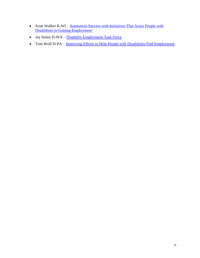- Scott Walker R-WI Announces Success with Initiatives That Assist People with [Disabilities in Gaining Employment](https://walker.wi.gov/press-releases/governor-walker-announces-success-initiatives-assist-people-disabilities-gaining)
- Jay Inslee D-WA [Disability Employment Task Force](http://www.governor.wa.gov/boards-commissions/workgroups-and-task-forces/disability-employment-task-force)
- Tom Wolf D-PA [Improving Efforts to Help People with Disabilities Find Employment](https://www.governor.pa.gov/governor-wolf-takes-important-steps-toward-strengthening-workforce-development-improving-efforts-to-help-people-with-disabilities-find-employment/)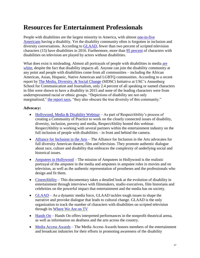### <span id="page-18-0"></span>**Resources for Entertainment Professionals**

People with disabilities are the largest minority in America, with almost [one-in-five](http://www.disabilitycompendium.org/statistics)  [Americans](http://www.disabilitycompendium.org/statistics) having a disability. Yet the disability community often is forgotten in inclusion and diversity conversations. According to [GLAAD,](http://www.glaad.org/whereweareontv16) fewer than two percent of scripted television characters (15) have disabilities in 2016. Furthermore, more than [95 percent](http://www.rudermanfoundation.org/blog/article/the-ruderman-white-paper-employment-of-actors-with-disabilities-in-television) of characters with disabilities on television are played by actors without disabilities.

What does exist is misleading. Almost all portrayals of people with disabilities in media are [white,](https://www.washingtonpost.com/news/act-four/wp/2016/09/07/in-hollywood-people-with-disabilities-are-almost-nonexistent/?utm_term=.4b964f397db5) despite the fact that disability impacts all. Anyone can join the disability community at any point and people with disabilities come from all communities – including the African American, Asian, Hispanic, Native American and LGBTQ communities. According to a recent report by [The Media, Diversity, & Social Change](http://annenberg.usc.edu/pages/~/media/MDSCI/Dr%20Stacy%20L%20Smith%20Inequality%20in%20800%20Films%20FINAL.ashx) (MDSC) Initiative at USC's Annenberg School for Communication and Journalism, only 2.4 percent of all speaking or named characters in film were shown to have a disability in 2015 and none of the leading characters were from underrepresented racial or ethnic groups. "Depictions of disability are not only marginalized," [the report says,](https://www.respectability.org/2016/09/new-report-people-of-color-with-and-without-disabilities-absent-from-film/) "they also obscure the true diversity of this community."

#### **Advocacy:**

- [Hollywood, Media & Disability Webinar](https://www.respectability.org/2017/02/webinar-hollywood-media-disability/) As part of RespectAbility's process of creating a Community of Practice to work on the closely connected issues of disability, diversity, inclusion, poverty and media, RespectAbility hosted this webinar. RespectAbility is working with several partners within the entertainment industry on the full inclusion of people with disabilities – in front and behind the camera.
- [Alliance for Inclusion in the Arts](http://inclusioninthearts.org/) The Alliance for Inclusion in the Arts advocates for full diversity American theatre, film and television. They promote authentic dialogue about race, culture and disability that embraces the complexity of underlying social and historical issues.
- [Amputees in Hollywood](http://www.amputeesinhollywood.com/) The mission of Amputees in Hollywood is the realistic portrayal of the amputee in the media and amputees in amputee roles in movies and on television, as well as the authentic representation of prostheses and the professionals who design and fit them.
- [CinemAbility](http://www.cinemability.com/) This documentary takes a detailed look at the evolution of disability in entertainment through interviews with filmmakers, studio executives, film historians and celebrities on the powerful impact that entertainment and the media has on society.
- [GLAAD](https://www.glaad.org/) As a dynamic media force, GLAAD tackles tough issues to shape the narrative and provoke dialogue that leads to cultural change. GLAAD is the only organization to track the number of characters with disabilities on scripted television through its [Where We Are on TV](http://www.glaad.org/whereweareontv16)
- [Hands On](https://www.handson.org/) Hands On offers interpreted performances in the nonprofit theatrical arena, as well as information on deafness and the arts across the country.
- [Media Access Awards](https://mediaaccessawards.com/) The Media Access Awards honors members of the entertainment and broadcast industries for their efforts in promoting awareness of the disability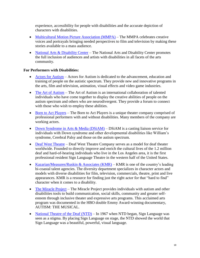experience, accessibility for people with disabilities and the accurate depiction of characters with disabilities.

- [Multicultural Motion Picture Association \(MMPA\)](http://www.multiculturalmotionpictureassociation.org/) The MMPA celebrates creative voices and portrayals bringing needed perspectives to film and television by making these stories available to a mass audience.
- [National Arts & Disability Center](https://www.semel.ucla.edu/nadc) The National Arts and Disability Center promotes the full inclusion of audiences and artists with disabilities in all facets of the arts community.

#### **For Performers with Disabilities:**

- [Actors for Autism](http://www.actorsforautism.org/) Actors for Autism is dedicated to the advancement, education and training of people on the autistic spectrum. They provide new and innovative programs in the arts, film and television, animation, visual effects and video game industries.
- [The Art of Autism](http://the-art-of-autism.com/) The Art of Autism is an international collaboration of talented individuals who have come together to display the creative abilities of people on the autism spectrum and others who are neurodivergent. They provide a forum to connect with those who wish to employ these abilities.
- [Born to Act Players](http://www.borntoactplayers.com/) The Born to Act Players is a unique theater company comprised of professional performers with and without disabilities. Many members of the company are working actors.
- [Down Syndrome in Arts & Media \(DSiAM\)](http://www.dsiam.org/) DSiAM is a casting liaison service for individuals with Down syndrome and other developmental disabilities like William's syndrome, Cerebral Palsy and those on the autism spectrum.
- [Deaf West Theatre](http://www.deafwest.org/) Deaf West Theatre Company serves as a model for deaf theater worldwide. Founded to directly improve and enrich the cultural lives of the 1.2 million deaf and hard-of-hearing individuals who live in the Los Angeles area, it is the first professional resident Sign Language Theatre in the western half of the United States.
- Kazarian/Measures/Ruskin & Associates  $(KMR)$  KMR is one of the country's leading bi-coastal talent agencies. The diversity department specializes in character actors and models with diverse disabilities for film, television, commercials, theatre, print and live appearances. KMR is a resource for finding just the right actor for that "hard to find" character when it comes to a disability.
- [The Miracle Project](http://www.themiracleproject.org/) The Miracle Project provides individuals with autism and other disabilities tools to build communication, social skills, community and greater selfesteem through inclusive theater and expressive arts programs. This acclaimed arts program was documented in the HBO double Emmy Award-winning documentary, AUTISM: THE MUSICAL.
- [National Theatre of the Deaf \(NTD\)](http://www.ntd.org/) In 1967 when NTD began, Sign Language was seen as a stigma. By placing Sign Language on stage, the NTD showed the world that Sign Language was a beautiful, powerful, visual language.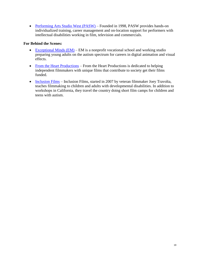• [Performing Arts Studio West \(PASW\)](http://www.pastudiowest.com/) – Founded in 1998, PASW provides hands-on individualized training, career management and on-location support for performers with intellectual disabilities working in film, television and commercials.

#### **For Behind the Scenes:**

- Exceptional Minds  $(EM)$  EM is a nonprofit vocational school and working studio preparing young adults on the autism spectrum for careers in digital animation and visual effects.
- [From the Heart Productions](http://fromtheheartproductions.com/) From the Heart Productions is dedicated to helping independent filmmakers with unique films that contribute to society get their films funded.
- [Inclusion Films](https://www.inclusionfilms.com/) Inclusion Films, started in 2007 by veteran filmmaker Joey Travolta, teaches filmmaking to children and adults with developmental disabilities. In addition to workshops in California, they travel the country doing short film camps for children and teens with autism.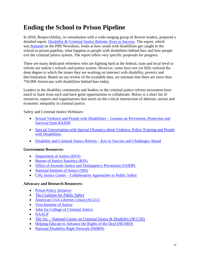### <span id="page-21-0"></span>**Ending the School to Prison Pipeline**

In 2016, RespectAbility, in consultation with a wide-ranging group of diverse leaders, prepared a detailed report, [Disability & Criminal Justice Reform: Keys to Success.](https://www.respectability.org/2016/06/20/new-report-shows-750000-people-with-disabilities-behind-bars/) The report, which was [featured](http://www.pbs.org/newshour/bb/prisoners-with-disabilities-lack-scaffolding-for-success/) on the PBS Newshour, looks at how youth with disabilities get caught in the school-to-prison pipeline, what happens to people with disabilities behind bars and how people exit the criminal justice system. The report offers very specific proposals for progress.

There are many dedicated reformers who are fighting hard at the federal, state and local level to reform our nation's schools and justice system. However, some have not yet fully realized the deep degree to which the issues they are working on intersect with disability, poverty and discrimination. Based on our review of the available data, we estimate that there are more than 750,000 Americans with disabilities behind bars today.

Leaders in the disability community and leaders in the criminal justice reform movement have much to learn from each and have great opportunities to collaborate. Below is a short list of resources, reports and organizations that touch on the critical intersection of ableism, racism and economic inequality in criminal justice.

Safety and Criminal Justice Webinars:

- [Sexual Violence and People with Disabilities –](https://www.respectability.org/2017/03/10/webinar-sexual-violence-and-people-with-disabilities-lessons-on-prevention-protection-and-survival-from-rainn/) Lessons on Prevention, Protection and [Survival from RAINN](https://www.respectability.org/2017/03/10/webinar-sexual-violence-and-people-with-disabilities-lessons-on-prevention-protection-and-survival-from-rainn/)
- Special Conversation with Special Olympics about Violence, Police Training and People [with Disabilities](https://www.respectability.org/2017/01/17/webinar-special-conversation-with-special-olympics-about-violence-police-training-and-people-with-disabilities/)
- [Disability and Criminal Justice Reform –](https://www.respectability.org/2016/12/06/disability-criminal-justice-reform-key-to-success-and-challenges-ahead/) Key to Success and Challenges Ahead

#### **Government Resources:**

- [Department of Justice \(DOJ\)](https://www.justice.gov/)
- [Bureau of Justice Statistics \(BJS\)](https://www.bjs.gov/)
- [Office of Juvenile Justice and Delinquency Prevention \(OJJDP\)](https://www.ojjdp.gov/)
- [National Institute of Justice \(NIJ\)](https://www.nij.gov/Pages/welcome.aspx)
- CSG Justice Center [Collaborative Approaches to Public Safety](https://csgjusticecenter.org/)

#### **Advocacy and Research Resources:**

- [Prison Policy Initiative](https://www.prisonpolicy.org/)
- [The Coalition for Public Safety](http://www.coalitionforpublicsafety.org/)
- [American Civil Liberties](https://www.aclu.org/issues/criminal-law-reform) Union (ACLU)
- [Vera Institute of Justice](https://www.vera.org/securing-equal-justice/reaching-all-victims/people-with-disabilities-and-deaf-people)
- [John Jay College of Criminal Justice](http://www.jjay.cuny.edu/)
- [NAACP](http://www.naacp.org/issues/criminal-justice/)
- The Arc [National Center on Criminal Justice & Disability \(NCCJD\)](http://www.thearc.org/NCCJD)
- [Helping Educate to Advance the Rights of the Deaf \(HEARD\)](http://www.behearddc.org/)
- [National Disability Right Network \(NDRN\)](http://www.ndrn.org/)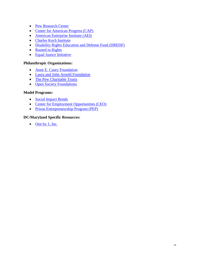- [Pew Research Center](http://www.pewresearch.org/topics/criminal-justice/)
- [Center for American Progress \(CAP\)](https://www.americanprogress.org/issues/criminal-justice/reports/2016/07/18/141447/disabled-behind-bars/)
- [American Enterprise Institute \(AEI\)](http://www.aei.org/tag/criminal-justice-reform/)
- [Charles Koch Institute](https://www.charleskochinstitute.org/issues/criminal-justice-policing-reform/)
- [Disability Rights Education and Defense Fund \(DREDF\)](https://dredf.org/legal-advocacy/school-to-prison-pipeline/)
- [Rooted in Rights](http://www.rootedinrights.org/videos/criminal-justice/)
- [Equal Justice Initiative](http://eji.org/)

#### **Philanthropic Organizations:**

- [Anne E. Casey Foundation](http://www.aecf.org/work/juvenile-justice/)
- [Laura and John Arnold Foundation](http://www.arnoldfoundation.org/initiative/criminal-justice/)
- [The Pew Charitable Trusts](http://www.pewtrusts.org/en/projects/public-safety-performance-project)
- [Open Society Foundations](https://www.opensocietyfoundations.org/topics/criminal-justice)

#### **Model Programs:**

- [Social Impact Bonds](https://csgjusticecenter.org/reentry/posts/social-impact-bonds-gain-momentum-in-the-criminal-justice-field/)
- [Center for Employment Opportunities \(CEO\)](https://ceoworks.org/)
- [Prison Entrepreneurship Program \(PEP\)](http://www.pep.org/)

#### **DC/Maryland Specific Resources:**

 $\bullet$  [One by 1, Inc.](http://www.oneby1inc.org/)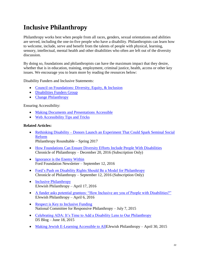# <span id="page-23-0"></span>**Inclusive Philanthropy**

Philanthropy works best when people from all races, genders, sexual orientations and abilities are served, including the one-in-five people who have a disability. Philanthropists can learn how to welcome, include, serve and benefit from the talents of people with physical, learning, sensory, intellectual, mental health and other disabilities who often are left out of the diversity discussion.

By doing so, foundations and philanthropists can have the maximum impact that they desire, whether that is in education, training, employment, criminal justice, health, access or other key issues. We encourage you to learn more by reading the resources below:

Disability Funders and Inclusive Statements:

- [Council on Foundations: Diversity, Equity, & Inclusion](http://www.cof.org/topic/diversity-equity-inclusion)
- [Disabilities Funders Group](http://www.agmconnect.org/grantmakers-philanthropic-advisors/disabilities-funders-network)
- [Change Philanthropy](http://changephilanthropy.org/)

Ensuring Accessibility:

- [Making Documents and Presentations Accessible](https://www.respectability.org/2014/11/07/want-to-make-your-documents-and-presentations-accessible-to-individuals-with-disabilities-free-webinar-to-learn-easy-ways-to-do-it-for-free/)
- [Web Accessibility Tips and Tricks](https://www.respectability.org/2015/05/29/introduction-to-web-accessibility-tips-and-tricks/)

#### **Related Articles:**

- Rethinking Disability [Donors Launch an Experiment That Could Spark Seminal Social](http://www.philanthropyroundtable.org/topic/excellence_in_philanthropy/rethinking_disability)  [Reform](http://www.philanthropyroundtable.org/topic/excellence_in_philanthropy/rethinking_disability) Philanthropy Roundtable – Spring 2017
- [How Foundations Can Ensure Diversity Efforts Include People With Disabilities](https://www.philanthropy.com/article/How-Foundations-Can-Ensure/238720) Chronicle of Philanthropy – December 20, 2016 (Subscription Only)
- [Ignorance is the Enemy Within](http://www.fordfoundation.org/ideas/equals-change-blog/posts/ignorance-is-the-enemy-within-on-the-power-of-our-privilege-and-the-privilege-of-our-power/) Ford Foundation Newsletter – September 12, 2016
- [Ford's Push on Disability Rights Should Be a Model for Philanthropy](https://www.philanthropy.com/article/Opinion-Ford-s-Push-on/237762) Chronicle of Philanthropy – September 12, 2016 (Subscription Only)
- [Inclusive Philanthropy](http://ejewishphilanthropy.com/inclusive-philanthropy/) EJewish Philanthropy – April 17, 2016
- [A funder asks potential grantees: "How Inclusive are you of People with Disabilities?"](http://ejewishphilanthropy.com/a-funder-asks-potential-grantees-how-inclusive-are-you-of-people-with-disabilities/) EJewish Philanthropy – April 6, 2016
- [Respect is Key to Inclusive Funding](https://www.ncrp.org/2015/07/respect-is-key-to-inclusive-funding.html) National Committee for Responsive Philanthropy – July 7, 2015
- [Celebrating ADA: It's Time to Add a Disability Lens to Our Philanthropy](http://www.d5coalition.org/2015/06/celebrating-ada-its-time-to-add-a-disability-lens-to-our-philanthropy/) D5 Blog – June 18, 2015
- [Making Jewish E-Learning Accessible to AllE](http://ejewishphilanthropy.com/making-jewish-e-learning-accessible-to-all/)Jewish Philanthropy April 30, 2015